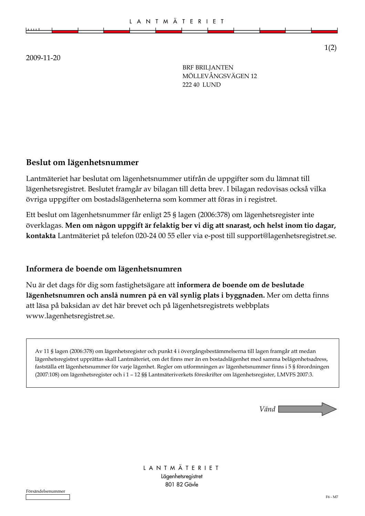|   |  |  | L A N T M Ä T E R I E T |  |  |  |
|---|--|--|-------------------------|--|--|--|
| . |  |  |                         |  |  |  |
|   |  |  |                         |  |  |  |
|   |  |  |                         |  |  |  |

2009-11-20

**BRF BRILIANTEN** MÖLLEVÅNGSVÄGEN 12 222 40 LUND

## Beslut om lägenhetsnummer

Lantmäteriet har beslutat om lägenhetsnummer utifrån de uppgifter som du lämnat till lägenhetsregistret. Beslutet framgår av bilagan till detta brev. I bilagan redovisas också vilka övriga uppgifter om bostadslägenheterna som kommer att föras in i registret.

Ett beslut om lägenhetsnummer får enligt 25 § lagen (2006:378) om lägenhetsregister inte överklagas. Men om någon uppgift är felaktig ber vi dig att snarast, och helst inom tio dagar, kontakta Lantmäteriet på telefon 020-24 00 55 eller via e-post till support@lagenhetsregistret.se.

#### Informera de boende om lägenhetsnumren

Nu är det dags för dig som fastighetsägare att informera de boende om de beslutade lägenhetsnumren och anslå numren på en väl synlig plats i byggnaden. Mer om detta finns att läsa på baksidan av det här brevet och på lägenhetsregistrets webbplats www.lagenhetsregistret.se.

Av 11 § lagen (2006:378) om lägenhetsregister och punkt 4 i övergångsbestämmelserna till lagen framgår att medan lägenhetsregistret upprättas skall Lantmäteriet, om det finns mer än en bostadslägenhet med samma belägenhetsadress, fastställa ett lägenhetsnummer för varje lägenhet. Regler om utformningen av lägenhetsnummer finns i 5 § förordningen (2007:108) om lägenhetsregister och i 1 - 12 §§ Lantmäteriverkets föreskrifter om lägenhetsregister, LMVFS 2007:3.



LANTMÄTERIET Lägenhetsregistret 801 82 Gävle

 $1(2)$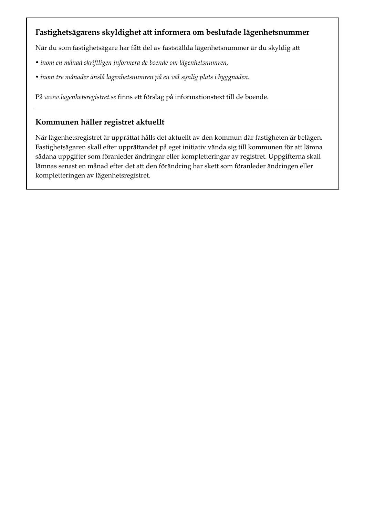## Fastighetsägarens skyldighet att informera om beslutade lägenhetsnummer

När du som fastighetsägare har fått del av fastställda lägenhetsnummer är du skyldig att

- · inom en månad skriftligen informera de boende om lägenhetsnumren,
- · inom tre månader anslå lägenhetsnumren på en väl synlig plats i byggnaden.

På www.lagenhetsregistret.se finns ett förslag på informationstext till de boende.

# Kommunen håller registret aktuellt

När lägenhetsregistret är upprättat hålls det aktuellt av den kommun där fastigheten är belägen. Fastighetsägaren skall efter upprättandet på eget initiativ vända sig till kommunen för att lämna sådana uppgifter som föranleder ändringar eller kompletteringar av registret. Uppgifterna skall lämnas senast en månad efter det att den förändring har skett som föranleder ändringen eller kompletteringen av lägenhetsregistret.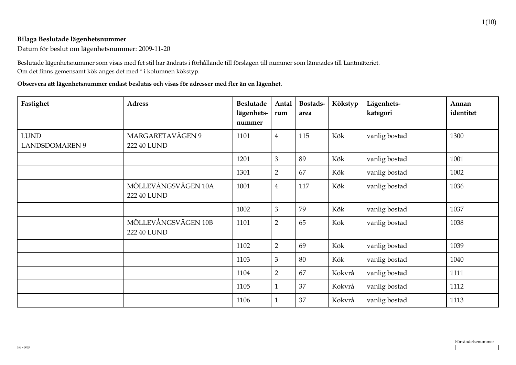#### Bilaga Beslutade lägenhetsnummer

Datum för beslut om lägenhetsnummer: 2009-11-20

Beslutade lägenhetsnummer som visas med fet stil har ändrats i förhållande till förslagen till nummer som lämnades till Lantmäteriet. Om det finns gemensamt kök anges det med \* i kolumnen kökstyp.

Observera att lägenhetsnummer endast beslutas och visas för adresser med fler än en lägenhet.

| Fastighet                            | <b>Adress</b>                      | <b>Beslutade</b><br>lägenhets-<br>nummer | Antal<br>rum   | Bostads-<br>area | Kökstyp | Lägenhets-<br>kategori | Annan<br>identitet |
|--------------------------------------|------------------------------------|------------------------------------------|----------------|------------------|---------|------------------------|--------------------|
| <b>LUND</b><br><b>LANDSDOMAREN 9</b> | MARGARETAVÄGEN 9<br>222 40 LUND    | 1101                                     | $\overline{4}$ | 115              | Kök     | vanlig bostad          | 1300               |
|                                      |                                    | 1201                                     | 3              | 89               | Kök     | vanlig bostad          | 1001               |
|                                      |                                    | 1301                                     | $\overline{2}$ | 67               | Kök     | vanlig bostad          | 1002               |
|                                      | MÖLLEVÅNGSVÄGEN 10A<br>222 40 LUND | 1001                                     | $\overline{4}$ | 117              | Kök     | vanlig bostad          | 1036               |
|                                      |                                    | 1002                                     | 3              | 79               | Kök     | vanlig bostad          | 1037               |
|                                      | MÖLLEVÅNGSVÄGEN 10B<br>222 40 LUND | 1101                                     | $\overline{2}$ | 65               | Kök     | vanlig bostad          | 1038               |
|                                      |                                    | 1102                                     | $\overline{2}$ | 69               | Kök     | vanlig bostad          | 1039               |
|                                      |                                    | 1103                                     | 3              | 80               | Kök     | vanlig bostad          | 1040               |
|                                      |                                    | 1104                                     | $\overline{2}$ | 67               | Kokvrå  | vanlig bostad          | 1111               |
|                                      |                                    | 1105                                     | $\mathbf{1}$   | 37               | Kokvrå  | vanlig bostad          | 1112               |
|                                      |                                    | 1106                                     | $\mathbf{1}$   | 37               | Kokvrå  | vanlig bostad          | 1113               |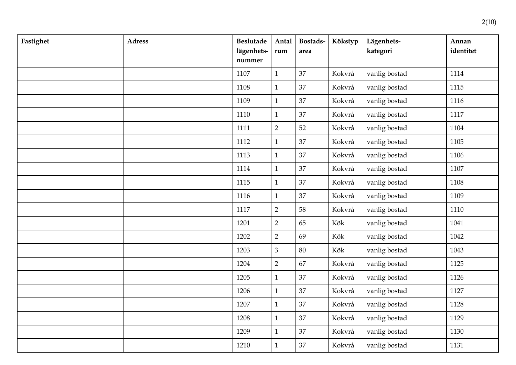| Fastighet | <b>Adress</b> | <b>Beslutade</b><br>lägenhets-<br>nummer | Antal<br>rum   | Bostads-<br>area | Kökstyp | Lägenhets-<br>kategori | Annan<br>identitet |
|-----------|---------------|------------------------------------------|----------------|------------------|---------|------------------------|--------------------|
|           |               | 1107                                     | $\mathbf{1}$   | 37               | Kokvrå  | vanlig bostad          | 1114               |
|           |               | 1108                                     | $\mathbf{1}$   | 37               | Kokvrå  | vanlig bostad          | 1115               |
|           |               | 1109                                     | $\mathbf{1}$   | 37               | Kokvrå  | vanlig bostad          | 1116               |
|           |               | 1110                                     | $\mathbf{1}$   | 37               | Kokvrå  | vanlig bostad          | 1117               |
|           |               | 1111                                     | $\overline{2}$ | 52               | Kokvrå  | vanlig bostad          | 1104               |
|           |               | 1112                                     | $\mathbf{1}$   | 37               | Kokvrå  | vanlig bostad          | 1105               |
|           |               | 1113                                     | $\mathbf{1}$   | 37               | Kokvrå  | vanlig bostad          | 1106               |
|           |               | 1114                                     | $\mathbf{1}$   | 37               | Kokvrå  | vanlig bostad          | 1107               |
|           |               | 1115                                     | $\mathbf{1}$   | 37               | Kokvrå  | vanlig bostad          | 1108               |
|           |               | 1116                                     | $\mathbf{1}$   | 37               | Kokvrå  | vanlig bostad          | 1109               |
|           |               | 1117                                     | $\overline{2}$ | 58               | Kokvrå  | vanlig bostad          | 1110               |
|           |               | 1201                                     | $\overline{2}$ | 65               | Kök     | vanlig bostad          | 1041               |
|           |               | 1202                                     | $\overline{2}$ | 69               | Kök     | vanlig bostad          | 1042               |
|           |               | 1203                                     | 3              | 80               | Kök     | vanlig bostad          | 1043               |
|           |               | 1204                                     | $\overline{2}$ | 67               | Kokvrå  | vanlig bostad          | 1125               |
|           |               | 1205                                     | $\mathbf{1}$   | 37               | Kokvrå  | vanlig bostad          | 1126               |
|           |               | 1206                                     | $\mathbf{1}$   | 37               | Kokvrå  | vanlig bostad          | 1127               |
|           |               | 1207                                     | $\mathbf{1}$   | 37               | Kokvrå  | vanlig bostad          | 1128               |
|           |               | 1208                                     | $\mathbf{1}$   | 37               | Kokvrå  | vanlig bostad          | 1129               |
|           |               | 1209                                     | $\mathbf{1}$   | 37               | Kokvrå  | vanlig bostad          | 1130               |
|           |               | 1210                                     | $\mathbf{1}$   | 37               | Kokvrå  | vanlig bostad          | 1131               |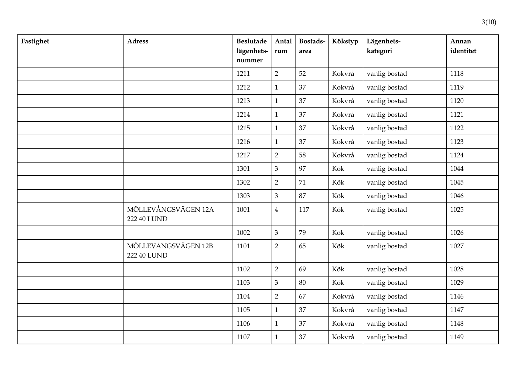| Fastighet | <b>Adress</b>                      | <b>Beslutade</b><br>lägenhets-<br>nummer | Antal<br>rum   | Bostads-<br>area | Kökstyp | Lägenhets-<br>kategori | Annan<br>identitet |
|-----------|------------------------------------|------------------------------------------|----------------|------------------|---------|------------------------|--------------------|
|           |                                    | 1211                                     | $\overline{2}$ | 52               | Kokvrå  | vanlig bostad          | 1118               |
|           |                                    | 1212                                     | $\mathbf{1}$   | 37               | Kokvrå  | vanlig bostad          | 1119               |
|           |                                    | 1213                                     | $\mathbf{1}$   | 37               | Kokvrå  | vanlig bostad          | 1120               |
|           |                                    | 1214                                     | $\mathbf{1}$   | 37               | Kokvrå  | vanlig bostad          | 1121               |
|           |                                    | 1215                                     | $\mathbf{1}$   | 37               | Kokvrå  | vanlig bostad          | 1122               |
|           |                                    | 1216                                     | $\mathbf{1}$   | 37               | Kokvrå  | vanlig bostad          | 1123               |
|           |                                    | 1217                                     | $\overline{2}$ | 58               | Kokvrå  | vanlig bostad          | 1124               |
|           |                                    | 1301                                     | 3              | 97               | Kök     | vanlig bostad          | 1044               |
|           |                                    | 1302                                     | $\overline{2}$ | 71               | Kök     | vanlig bostad          | 1045               |
|           |                                    | 1303                                     | $\mathfrak{Z}$ | 87               | Kök     | vanlig bostad          | 1046               |
|           | MÖLLEVÅNGSVÄGEN 12A<br>222 40 LUND | 1001                                     | $\overline{4}$ | 117              | Kök     | vanlig bostad          | 1025               |
|           |                                    | 1002                                     | $\overline{3}$ | 79               | Kök     | vanlig bostad          | 1026               |
|           | MÖLLEVÅNGSVÄGEN 12B<br>222 40 LUND | 1101                                     | $\overline{2}$ | 65               | Kök     | vanlig bostad          | 1027               |
|           |                                    | 1102                                     | $\overline{2}$ | 69               | Kök     | vanlig bostad          | 1028               |
|           |                                    | 1103                                     | 3              | 80               | Kök     | vanlig bostad          | 1029               |
|           |                                    | 1104                                     | $\overline{2}$ | 67               | Kokvrå  | vanlig bostad          | 1146               |
|           |                                    | 1105                                     | $\mathbf{1}$   | 37               | Kokvrå  | vanlig bostad          | 1147               |
|           |                                    | 1106                                     | $\mathbf{1}$   | 37               | Kokvrå  | vanlig bostad          | 1148               |
|           |                                    | 1107                                     | $\mathbf{1}$   | 37               | Kokvrå  | vanlig bostad          | 1149               |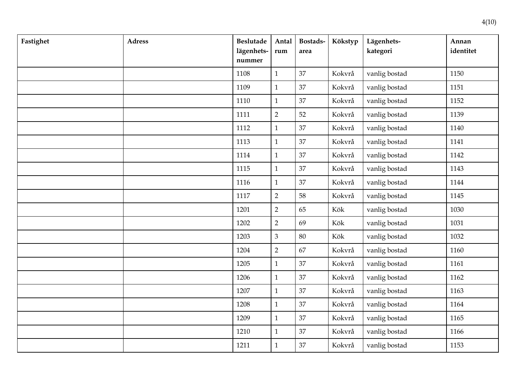| Fastighet | <b>Adress</b> | <b>Beslutade</b><br>lägenhets-<br>nummer | Antal<br>rum   | Bostads-<br>area | Kökstyp | Lägenhets-<br>kategori | Annan<br>identitet |
|-----------|---------------|------------------------------------------|----------------|------------------|---------|------------------------|--------------------|
|           |               | 1108                                     | $\mathbf{1}$   | 37               | Kokvrå  | vanlig bostad          | 1150               |
|           |               | 1109                                     | $\mathbf{1}$   | 37               | Kokvrå  | vanlig bostad          | 1151               |
|           |               | 1110                                     | $\mathbf{1}$   | 37               | Kokvrå  | vanlig bostad          | 1152               |
|           |               | 1111                                     | $\overline{2}$ | 52               | Kokvrå  | vanlig bostad          | 1139               |
|           |               | 1112                                     | $\mathbf{1}$   | 37               | Kokvrå  | vanlig bostad          | 1140               |
|           |               | 1113                                     | $\mathbf{1}$   | 37               | Kokvrå  | vanlig bostad          | 1141               |
|           |               | 1114                                     | $\mathbf{1}$   | 37               | Kokvrå  | vanlig bostad          | 1142               |
|           |               | 1115                                     | $\mathbf{1}$   | 37               | Kokvrå  | vanlig bostad          | 1143               |
|           |               | 1116                                     | $\mathbf{1}$   | 37               | Kokvrå  | vanlig bostad          | 1144               |
|           |               | 1117                                     | $\overline{2}$ | 58               | Kokvrå  | vanlig bostad          | 1145               |
|           |               | 1201                                     | $\overline{2}$ | 65               | Kök     | vanlig bostad          | 1030               |
|           |               | 1202                                     | $\overline{2}$ | 69               | Kök     | vanlig bostad          | 1031               |
|           |               | 1203                                     | $\mathfrak{Z}$ | 80               | Kök     | vanlig bostad          | 1032               |
|           |               | 1204                                     | $\overline{2}$ | 67               | Kokvrå  | vanlig bostad          | 1160               |
|           |               | 1205                                     | $\mathbf{1}$   | 37               | Kokvrå  | vanlig bostad          | 1161               |
|           |               | 1206                                     | $\mathbf{1}$   | 37               | Kokvrå  | vanlig bostad          | 1162               |
|           |               | 1207                                     | $\mathbf{1}$   | 37               | Kokvrå  | vanlig bostad          | 1163               |
|           |               | 1208                                     | $\mathbf{1}$   | 37               | Kokvrå  | vanlig bostad          | 1164               |
|           |               | 1209                                     | $\mathbf{1}$   | 37               | Kokvrå  | vanlig bostad          | 1165               |
|           |               | 1210                                     | $\mathbf{1}$   | 37               | Kokvrå  | vanlig bostad          | 1166               |
|           |               | 1211                                     | $\mathbf{1}$   | 37               | Kokvrå  | vanlig bostad          | 1153               |

 $4(10)$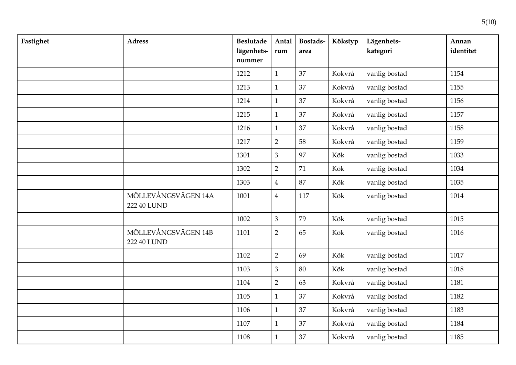| Fastighet | <b>Adress</b>                      | <b>Beslutade</b><br>lägenhets-<br>nummer | Antal<br>rum   | Bostads-<br>area | Kökstyp | Lägenhets-<br>kategori | Annan<br>identitet |
|-----------|------------------------------------|------------------------------------------|----------------|------------------|---------|------------------------|--------------------|
|           |                                    | 1212                                     | $\mathbf{1}$   | 37               | Kokvrå  | vanlig bostad          | 1154               |
|           |                                    | 1213                                     | $\mathbf{1}$   | 37               | Kokvrå  | vanlig bostad          | 1155               |
|           |                                    | 1214                                     | $\mathbf{1}$   | 37               | Kokvrå  | vanlig bostad          | 1156               |
|           |                                    | 1215                                     | $\mathbf{1}$   | 37               | Kokvrå  | vanlig bostad          | 1157               |
|           |                                    | 1216                                     | $\mathbf{1}$   | 37               | Kokvrå  | vanlig bostad          | 1158               |
|           |                                    | 1217                                     | $\overline{2}$ | 58               | Kokvrå  | vanlig bostad          | 1159               |
|           |                                    | 1301                                     | $\mathfrak{Z}$ | 97               | Kök     | vanlig bostad          | 1033               |
|           |                                    | 1302                                     | $\overline{2}$ | 71               | Kök     | vanlig bostad          | 1034               |
|           |                                    | 1303                                     | $\overline{4}$ | 87               | Kök     | vanlig bostad          | 1035               |
|           | MÖLLEVÅNGSVÄGEN 14A<br>222 40 LUND | 1001                                     | $\overline{4}$ | 117              | Kök     | vanlig bostad          | 1014               |
|           |                                    | 1002                                     | 3              | 79               | Kök     | vanlig bostad          | 1015               |
|           | MÖLLEVÅNGSVÄGEN 14B<br>222 40 LUND | 1101                                     | $\overline{2}$ | 65               | Kök     | vanlig bostad          | 1016               |
|           |                                    | 1102                                     | $\overline{2}$ | 69               | Kök     | vanlig bostad          | 1017               |
|           |                                    | 1103                                     | $\overline{3}$ | 80               | Kök     | vanlig bostad          | 1018               |
|           |                                    | 1104                                     | $\overline{2}$ | 63               | Kokvrå  | vanlig bostad          | 1181               |
|           |                                    | 1105                                     | $\mathbf{1}$   | 37               | Kokvrå  | vanlig bostad          | 1182               |
|           |                                    | 1106                                     | $\mathbf{1}$   | 37               | Kokvrå  | vanlig bostad          | 1183               |
|           |                                    | 1107                                     | $\mathbf{1}$   | 37               | Kokvrå  | vanlig bostad          | 1184               |
|           |                                    | 1108                                     | $\mathbf{1}$   | 37               | Kokvrå  | vanlig bostad          | 1185               |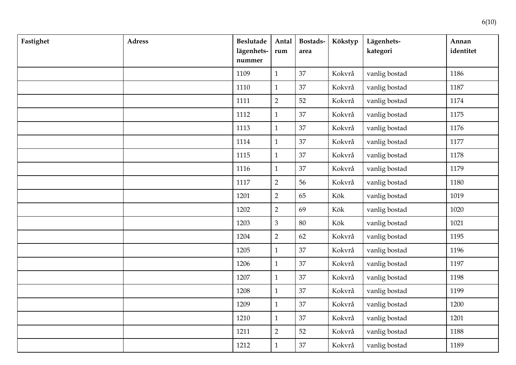| Fastighet | <b>Adress</b> | <b>Beslutade</b><br>lägenhets-<br>nummer | Antal<br>rum   | Bostads-<br>area | Kökstyp | Lägenhets-<br>kategori | Annan<br>identitet |
|-----------|---------------|------------------------------------------|----------------|------------------|---------|------------------------|--------------------|
|           |               | 1109                                     | $\mathbf{1}$   | 37               | Kokvrå  | vanlig bostad          | 1186               |
|           |               | 1110                                     | $\mathbf{1}$   | 37               | Kokvrå  | vanlig bostad          | 1187               |
|           |               | 1111                                     | $\overline{2}$ | 52               | Kokvrå  | vanlig bostad          | 1174               |
|           |               | 1112                                     | $\mathbf{1}$   | 37               | Kokvrå  | vanlig bostad          | 1175               |
|           |               | 1113                                     | $\mathbf{1}$   | 37               | Kokvrå  | vanlig bostad          | 1176               |
|           |               | 1114                                     | $\mathbf{1}$   | 37               | Kokvrå  | vanlig bostad          | 1177               |
|           |               | 1115                                     | $\mathbf{1}$   | 37               | Kokvrå  | vanlig bostad          | 1178               |
|           |               | 1116                                     | $\mathbf{1}$   | 37               | Kokvrå  | vanlig bostad          | 1179               |
|           |               | 1117                                     | $\overline{2}$ | 56               | Kokvrå  | vanlig bostad          | 1180               |
|           |               | 1201                                     | $\overline{2}$ | 65               | Kök     | vanlig bostad          | 1019               |
|           |               | 1202                                     | $\overline{2}$ | 69               | Kök     | vanlig bostad          | 1020               |
|           |               | 1203                                     | $\mathfrak{Z}$ | 80               | Kök     | vanlig bostad          | 1021               |
|           |               | 1204                                     | $\overline{2}$ | 62               | Kokvrå  | vanlig bostad          | 1195               |
|           |               | 1205                                     | $\mathbf{1}$   | 37               | Kokvrå  | vanlig bostad          | 1196               |
|           |               | 1206                                     | $\mathbf{1}$   | 37               | Kokvrå  | vanlig bostad          | 1197               |
|           |               | 1207                                     | $\mathbf{1}$   | 37               | Kokvrå  | vanlig bostad          | 1198               |
|           |               | 1208                                     | $\mathbf{1}$   | 37               | Kokvrå  | vanlig bostad          | 1199               |
|           |               | 1209                                     | $\mathbf{1}$   | 37               | Kokvrå  | vanlig bostad          | 1200               |
|           |               | 1210                                     | $\mathbf{1}$   | 37               | Kokvrå  | vanlig bostad          | 1201               |
|           |               | 1211                                     | $\overline{2}$ | 52               | Kokvrå  | vanlig bostad          | 1188               |
|           |               | 1212                                     | $\mathbf{1}$   | 37               | Kokvrå  | vanlig bostad          | 1189               |

 $6(10)$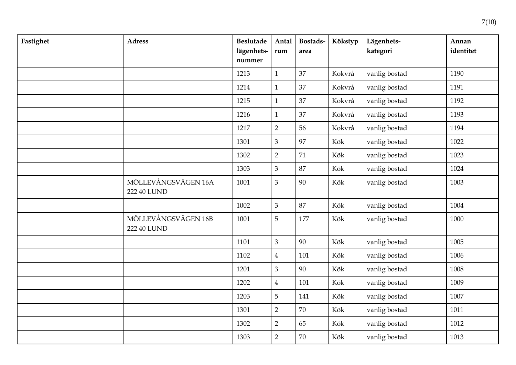| Fastighet | <b>Adress</b>                      | <b>Beslutade</b><br>lägenhets-<br>nummer | Antal<br>$\mathop{\bf rum}\nolimits$ | Bostads-<br>area | Kökstyp | Lägenhets-<br>kategori | Annan<br>identitet |
|-----------|------------------------------------|------------------------------------------|--------------------------------------|------------------|---------|------------------------|--------------------|
|           |                                    | 1213                                     | $\mathbf{1}$                         | 37               | Kokvrå  | vanlig bostad          | 1190               |
|           |                                    | 1214                                     | $\mathbf 1$                          | 37               | Kokvrå  | vanlig bostad          | 1191               |
|           |                                    | 1215                                     | $\mathbf{1}$                         | 37               | Kokvrå  | vanlig bostad          | 1192               |
|           |                                    | 1216                                     | $\mathbf{1}$                         | 37               | Kokvrå  | vanlig bostad          | 1193               |
|           |                                    | 1217                                     | $\overline{2}$                       | 56               | Kokvrå  | vanlig bostad          | 1194               |
|           |                                    | 1301                                     | $\mathfrak{Z}$                       | 97               | Kök     | vanlig bostad          | 1022               |
|           |                                    | 1302                                     | $\overline{2}$                       | 71               | Kök     | vanlig bostad          | 1023               |
|           |                                    | 1303                                     | $\mathfrak{Z}$                       | 87               | Kök     | vanlig bostad          | 1024               |
|           | MÖLLEVÅNGSVÄGEN 16A<br>222 40 LUND | 1001                                     | $\mathfrak{Z}$                       | 90               | Kök     | vanlig bostad          | 1003               |
|           |                                    | 1002                                     | $\mathfrak{Z}$                       | 87               | Kök     | vanlig bostad          | 1004               |
|           | MÖLLEVÅNGSVÄGEN 16B<br>222 40 LUND | 1001                                     | 5                                    | 177              | Kök     | vanlig bostad          | 1000               |
|           |                                    | 1101                                     | $\mathfrak{Z}$                       | 90               | Kök     | vanlig bostad          | 1005               |
|           |                                    | 1102                                     | $\overline{4}$                       | 101              | Kök     | vanlig bostad          | 1006               |
|           |                                    | 1201                                     | $\mathfrak{Z}$                       | 90               | Kök     | vanlig bostad          | 1008               |
|           |                                    | 1202                                     | $\overline{4}$                       | 101              | Kök     | vanlig bostad          | 1009               |
|           |                                    | 1203                                     | 5                                    | 141              | Kök     | vanlig bostad          | 1007               |
|           |                                    | 1301                                     | $\overline{2}$                       | 70               | Kök     | vanlig bostad          | 1011               |
|           |                                    | 1302                                     | $\overline{2}$                       | 65               | Kök     | vanlig bostad          | 1012               |
|           |                                    | 1303                                     | $\overline{2}$                       | 70               | Kök     | vanlig bostad          | 1013               |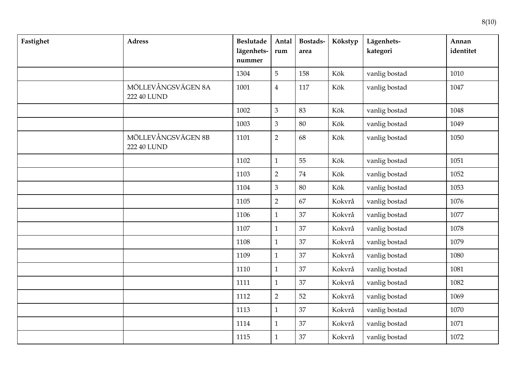| Fastighet | <b>Adress</b>                     | <b>Beslutade</b><br>lägenhets-<br>nummer | Antal<br>rum   | Bostads-<br>area | Kökstyp | Lägenhets-<br>kategori | Annan<br>identitet |
|-----------|-----------------------------------|------------------------------------------|----------------|------------------|---------|------------------------|--------------------|
|           |                                   | 1304                                     | 5              | 158              | Kök     | vanlig bostad          | 1010               |
|           | MÖLLEVÅNGSVÄGEN 8A<br>222 40 LUND | 1001                                     | $\overline{4}$ | 117              | Kök     | vanlig bostad          | 1047               |
|           |                                   | 1002                                     | $\mathfrak{Z}$ | 83               | Kök     | vanlig bostad          | 1048               |
|           |                                   | 1003                                     | $\overline{3}$ | 80               | Kök     | vanlig bostad          | 1049               |
|           | MÖLLEVÅNGSVÄGEN 8B<br>222 40 LUND | 1101                                     | $\overline{2}$ | 68               | Kök     | vanlig bostad          | 1050               |
|           |                                   | 1102                                     | $\mathbf{1}$   | 55               | Kök     | vanlig bostad          | 1051               |
|           |                                   | 1103                                     | $\overline{2}$ | 74               | Kök     | vanlig bostad          | 1052               |
|           |                                   | 1104                                     | $\mathfrak{Z}$ | 80               | Kök     | vanlig bostad          | 1053               |
|           |                                   | 1105                                     | $\overline{2}$ | 67               | Kokvrå  | vanlig bostad          | 1076               |
|           |                                   | 1106                                     | $\mathbf{1}$   | 37               | Kokvrå  | vanlig bostad          | 1077               |
|           |                                   | 1107                                     | $\mathbf{1}$   | 37               | Kokvrå  | vanlig bostad          | 1078               |
|           |                                   | 1108                                     | $\mathbf{1}$   | 37               | Kokvrå  | vanlig bostad          | 1079               |
|           |                                   | 1109                                     | $\mathbf{1}$   | 37               | Kokvrå  | vanlig bostad          | 1080               |
|           |                                   | 1110                                     | $\mathbf{1}$   | 37               | Kokvrå  | vanlig bostad          | 1081               |
|           |                                   | 1111                                     | $\mathbf{1}$   | 37               | Kokvrå  | vanlig bostad          | 1082               |
|           |                                   | 1112                                     | $\overline{2}$ | 52               | Kokvrå  | vanlig bostad          | 1069               |
|           |                                   | 1113                                     | $\mathbf{1}$   | 37               | Kokvrå  | vanlig bostad          | 1070               |
|           |                                   | 1114                                     | $\mathbf{1}$   | 37               | Kokvrå  | vanlig bostad          | 1071               |
|           |                                   | 1115                                     | $\mathbf{1}$   | 37               | Kokvrå  | vanlig bostad          | 1072               |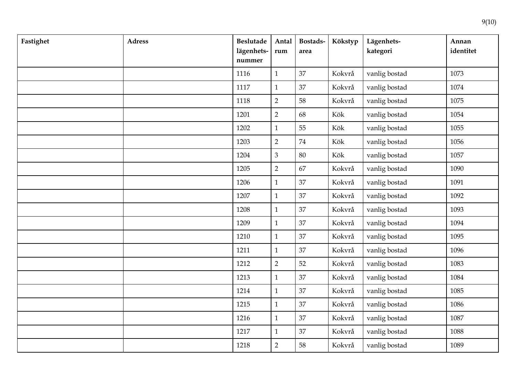| Fastighet | <b>Adress</b> | <b>Beslutade</b><br>lägenhets-<br>nummer | Antal<br>rum   | Bostads-<br>area | Kökstyp | Lägenhets-<br>kategori | Annan<br>identitet |
|-----------|---------------|------------------------------------------|----------------|------------------|---------|------------------------|--------------------|
|           |               | 1116                                     | $\mathbf{1}$   | 37               | Kokvrå  | vanlig bostad          | 1073               |
|           |               | 1117                                     | $\mathbf{1}$   | 37               | Kokvrå  | vanlig bostad          | 1074               |
|           |               | 1118                                     | $\overline{2}$ | 58               | Kokvrå  | vanlig bostad          | 1075               |
|           |               | 1201                                     | $\overline{2}$ | 68               | Kök     | vanlig bostad          | 1054               |
|           |               | 1202                                     | $\mathbf{1}$   | 55               | Kök     | vanlig bostad          | 1055               |
|           |               | 1203                                     | $\overline{2}$ | $74\,$           | Kök     | vanlig bostad          | 1056               |
|           |               | 1204                                     | $\mathfrak{Z}$ | 80               | Kök     | vanlig bostad          | 1057               |
|           |               | 1205                                     | $\overline{2}$ | 67               | Kokvrå  | vanlig bostad          | 1090               |
|           |               | 1206                                     | $\mathbf{1}$   | 37               | Kokvrå  | vanlig bostad          | 1091               |
|           |               | 1207                                     | $\mathbf{1}$   | 37               | Kokvrå  | vanlig bostad          | 1092               |
|           |               | 1208                                     | $\mathbf{1}$   | 37               | Kokvrå  | vanlig bostad          | 1093               |
|           |               | 1209                                     | $\mathbf{1}$   | 37               | Kokvrå  | vanlig bostad          | 1094               |
|           |               | 1210                                     | $\mathbf{1}$   | 37               | Kokvrå  | vanlig bostad          | 1095               |
|           |               | 1211                                     | $\mathbf{1}$   | 37               | Kokvrå  | vanlig bostad          | 1096               |
|           |               | 1212                                     | $\overline{2}$ | 52               | Kokvrå  | vanlig bostad          | 1083               |
|           |               | 1213                                     | $\mathbf{1}$   | 37               | Kokvrå  | vanlig bostad          | 1084               |
|           |               | 1214                                     | $\mathbf{1}$   | 37               | Kokvrå  | vanlig bostad          | 1085               |
|           |               | 1215                                     | $\mathbf{1}$   | 37               | Kokvrå  | vanlig bostad          | 1086               |
|           |               | 1216                                     | $\mathbf{1}$   | 37               | Kokvrå  | vanlig bostad          | 1087               |
|           |               | 1217                                     | $\mathbf{1}$   | 37               | Kokvrå  | vanlig bostad          | 1088               |
|           |               | 1218                                     | $\overline{2}$ | 58               | Kokvrå  | vanlig bostad          | 1089               |